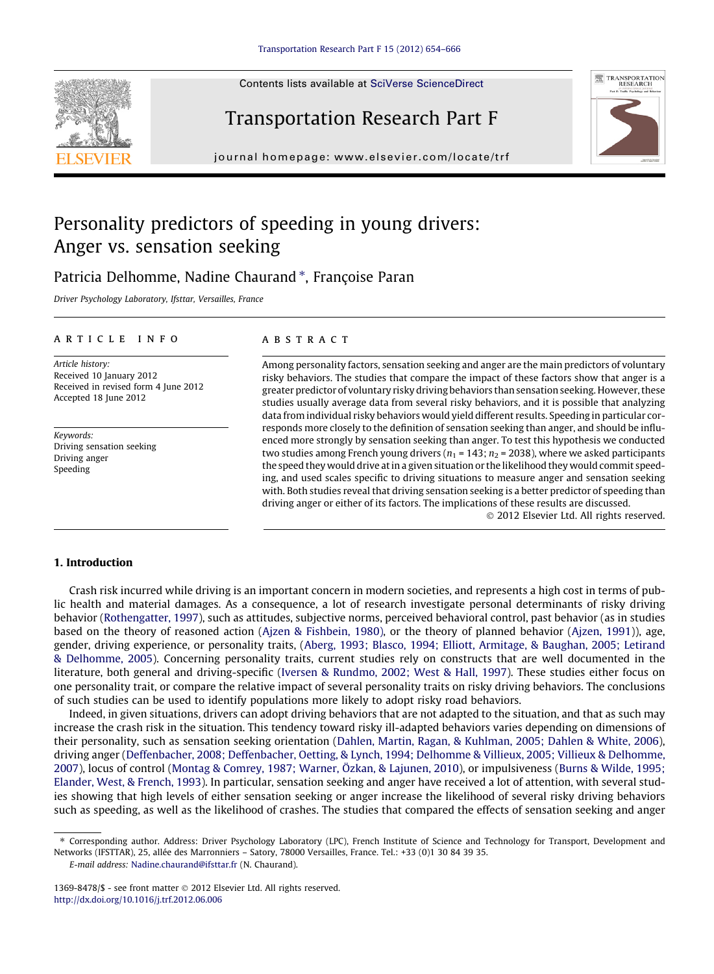Contents lists available at [SciVerse ScienceDirect](http://www.sciencedirect.com/science/journal/13698478)

## Transportation Research Part F

journal homepage: [www.elsevier.com/locate/trf](http://www.elsevier.com/locate/trf)

### Personality predictors of speeding in young drivers: Anger vs. sensation seeking

### Patricia Delhomme, Nadine Chaurand \*, Françoise Paran

Driver Psychology Laboratory, Ifsttar, Versailles, France

#### article info

Article history: Received 10 January 2012 Received in revised form 4 June 2012 Accepted 18 June 2012

Keywords: Driving sensation seeking Driving anger Speeding

#### ABSTRACT

Among personality factors, sensation seeking and anger are the main predictors of voluntary risky behaviors. The studies that compare the impact of these factors show that anger is a greater predictor of voluntary risky driving behaviors than sensation seeking. However, these studies usually average data from several risky behaviors, and it is possible that analyzing data from individual risky behaviors would yield different results. Speeding in particular corresponds more closely to the definition of sensation seeking than anger, and should be influenced more strongly by sensation seeking than anger. To test this hypothesis we conducted two studies among French young drivers ( $n_1$  = 143;  $n_2$  = 2038), where we asked participants the speed they would drive at in a given situation or the likelihood they would commit speeding, and used scales specific to driving situations to measure anger and sensation seeking with. Both studies reveal that driving sensation seeking is a better predictor of speeding than driving anger or either of its factors. The implications of these results are discussed.

- 2012 Elsevier Ltd. All rights reserved.

#### 1. Introduction

Crash risk incurred while driving is an important concern in modern societies, and represents a high cost in terms of public health and material damages. As a consequence, a lot of research investigate personal determinants of risky driving behavior [\(Rothengatter, 1997](#page--1-0)), such as attitudes, subjective norms, perceived behavioral control, past behavior (as in studies based on the theory of reasoned action [\(Ajzen & Fishbein, 1980\)](#page--1-0), or the theory of planned behavior [\(Ajzen, 1991](#page--1-0))), age, gender, driving experience, or personality traits, [\(Aberg, 1993; Blasco, 1994; Elliott, Armitage, & Baughan, 2005; Letirand](#page--1-0) [& Delhomme, 2005](#page--1-0)). Concerning personality traits, current studies rely on constructs that are well documented in the literature, both general and driving-specific ([Iversen & Rundmo, 2002; West & Hall, 1997\)](#page--1-0). These studies either focus on one personality trait, or compare the relative impact of several personality traits on risky driving behaviors. The conclusions of such studies can be used to identify populations more likely to adopt risky road behaviors.

Indeed, in given situations, drivers can adopt driving behaviors that are not adapted to the situation, and that as such may increase the crash risk in the situation. This tendency toward risky ill-adapted behaviors varies depending on dimensions of their personality, such as sensation seeking orientation [\(Dahlen, Martin, Ragan, & Kuhlman, 2005; Dahlen & White, 2006\)](#page--1-0), driving anger [\(Deffenbacher, 2008; Deffenbacher, Oetting, & Lynch, 1994; Delhomme & Villieux, 2005; Villieux & Delhomme,](#page--1-0) [2007](#page--1-0)), locus of control [\(Montag & Comrey, 1987; Warner, Özkan, & Lajunen, 2010\)](#page--1-0), or impulsiveness ([Burns & Wilde, 1995;](#page--1-0) [Elander, West, & French, 1993\)](#page--1-0). In particular, sensation seeking and anger have received a lot of attention, with several studies showing that high levels of either sensation seeking or anger increase the likelihood of several risky driving behaviors such as speeding, as well as the likelihood of crashes. The studies that compared the effects of sensation seeking and anger

1369-8478/\$ - see front matter  $\odot$  2012 Elsevier Ltd. All rights reserved. <http://dx.doi.org/10.1016/j.trf.2012.06.006>





<sup>⇑</sup> Corresponding author. Address: Driver Psychology Laboratory (LPC), French Institute of Science and Technology for Transport, Development and Networks (IFSTTAR), 25, allée des Marronniers – Satory, 78000 Versailles, France. Tel.: +33 (0)1 30 84 39 35.

E-mail address: [Nadine.chaurand@ifsttar.fr](mailto:Nadine.chaurand@ifsttar.fr) (N. Chaurand).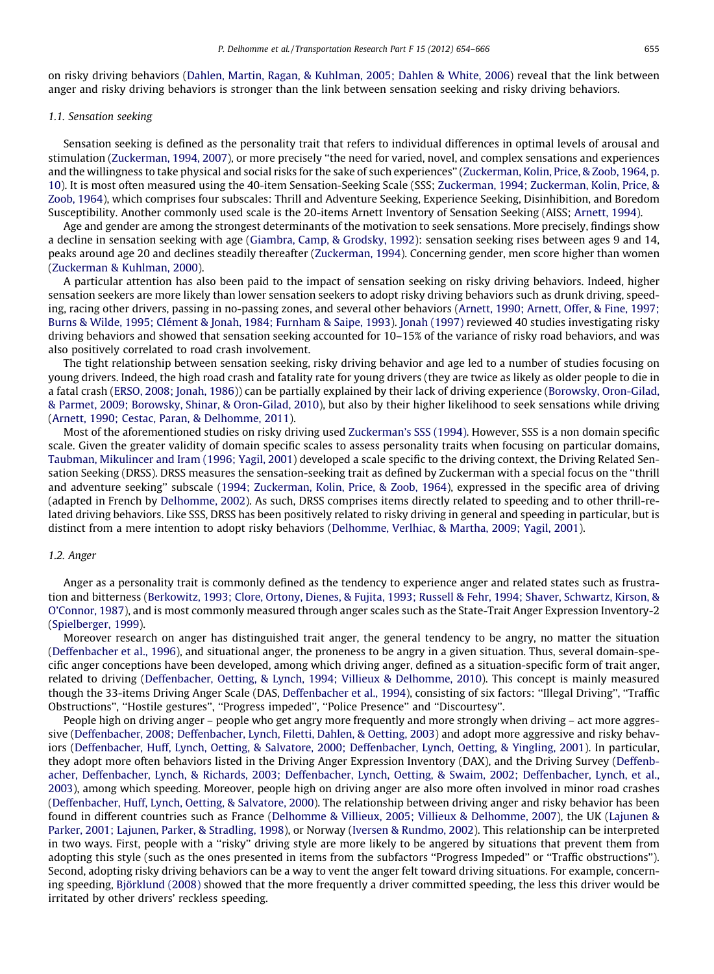on risky driving behaviors ([Dahlen, Martin, Ragan, & Kuhlman, 2005; Dahlen & White, 2006\)](#page--1-0) reveal that the link between anger and risky driving behaviors is stronger than the link between sensation seeking and risky driving behaviors.

#### 1.1. Sensation seeking

Sensation seeking is defined as the personality trait that refers to individual differences in optimal levels of arousal and stimulation [\(Zuckerman, 1994, 2007](#page--1-0)), or more precisely ''the need for varied, novel, and complex sensations and experiences and the willingness to take physical and social risks for the sake of such experiences'' [\(Zuckerman, Kolin, Price, & Zoob, 1964, p.](#page--1-0) [10](#page--1-0)). It is most often measured using the 40-item Sensation-Seeking Scale (SSS; [Zuckerman, 1994; Zuckerman, Kolin, Price, &](#page--1-0) [Zoob, 1964\)](#page--1-0), which comprises four subscales: Thrill and Adventure Seeking, Experience Seeking, Disinhibition, and Boredom Susceptibility. Another commonly used scale is the 20-items Arnett Inventory of Sensation Seeking (AISS; [Arnett, 1994\)](#page--1-0).

Age and gender are among the strongest determinants of the motivation to seek sensations. More precisely, findings show a decline in sensation seeking with age ([Giambra, Camp, & Grodsky, 1992](#page--1-0)): sensation seeking rises between ages 9 and 14, peaks around age 20 and declines steadily thereafter [\(Zuckerman, 1994\)](#page--1-0). Concerning gender, men score higher than women ([Zuckerman & Kuhlman, 2000\)](#page--1-0).

A particular attention has also been paid to the impact of sensation seeking on risky driving behaviors. Indeed, higher sensation seekers are more likely than lower sensation seekers to adopt risky driving behaviors such as drunk driving, speeding, racing other drivers, passing in no-passing zones, and several other behaviors ([Arnett, 1990; Arnett, Offer, & Fine, 1997;](#page--1-0) [Burns & Wilde, 1995; Clément & Jonah, 1984; Furnham & Saipe, 1993\)](#page--1-0). [Jonah \(1997\)](#page--1-0) reviewed 40 studies investigating risky driving behaviors and showed that sensation seeking accounted for 10–15% of the variance of risky road behaviors, and was also positively correlated to road crash involvement.

The tight relationship between sensation seeking, risky driving behavior and age led to a number of studies focusing on young drivers. Indeed, the high road crash and fatality rate for young drivers (they are twice as likely as older people to die in a fatal crash [\(ERSO, 2008; Jonah, 1986\)](#page--1-0)) can be partially explained by their lack of driving experience [\(Borowsky, Oron-Gilad,](#page--1-0) [& Parmet, 2009; Borowsky, Shinar, & Oron-Gilad, 2010](#page--1-0)), but also by their higher likelihood to seek sensations while driving ([Arnett, 1990; Cestac, Paran, & Delhomme, 2011\)](#page--1-0).

Most of the aforementioned studies on risky driving used [Zuckerman's SSS \(1994\).](#page--1-0) However, SSS is a non domain specific scale. Given the greater validity of domain specific scales to assess personality traits when focusing on particular domains, [Taubman, Mikulincer and Iram \(1996; Yagil, 2001](#page--1-0)) developed a scale specific to the driving context, the Driving Related Sensation Seeking (DRSS). DRSS measures the sensation-seeking trait as defined by Zuckerman with a special focus on the ''thrill and adventure seeking'' subscale ([1994; Zuckerman, Kolin, Price, & Zoob, 1964\)](#page--1-0), expressed in the specific area of driving (adapted in French by [Delhomme, 2002](#page--1-0)). As such, DRSS comprises items directly related to speeding and to other thrill-related driving behaviors. Like SSS, DRSS has been positively related to risky driving in general and speeding in particular, but is distinct from a mere intention to adopt risky behaviors [\(Delhomme, Verlhiac, & Martha, 2009; Yagil, 2001\)](#page--1-0).

#### 1.2. Anger

Anger as a personality trait is commonly defined as the tendency to experience anger and related states such as frustration and bitterness ([Berkowitz, 1993; Clore, Ortony, Dienes, & Fujita, 1993; Russell & Fehr, 1994; Shaver, Schwartz, Kirson, &](#page--1-0) [O'Connor, 1987\)](#page--1-0), and is most commonly measured through anger scales such as the State-Trait Anger Expression Inventory-2 ([Spielberger, 1999](#page--1-0)).

Moreover research on anger has distinguished trait anger, the general tendency to be angry, no matter the situation ([Deffenbacher et al., 1996](#page--1-0)), and situational anger, the proneness to be angry in a given situation. Thus, several domain-specific anger conceptions have been developed, among which driving anger, defined as a situation-specific form of trait anger, related to driving ([Deffenbacher, Oetting, & Lynch, 1994; Villieux & Delhomme, 2010](#page--1-0)). This concept is mainly measured though the 33-items Driving Anger Scale (DAS, [Deffenbacher et al., 1994\)](#page--1-0), consisting of six factors: ''Illegal Driving'', ''Traffic Obstructions'', ''Hostile gestures'', ''Progress impeded'', ''Police Presence'' and ''Discourtesy''.

People high on driving anger – people who get angry more frequently and more strongly when driving – act more aggressive ([Deffenbacher, 2008; Deffenbacher, Lynch, Filetti, Dahlen, & Oetting, 2003\)](#page--1-0) and adopt more aggressive and risky behaviors ([Deffenbacher, Huff, Lynch, Oetting, & Salvatore, 2000; Deffenbacher, Lynch, Oetting, & Yingling, 2001\)](#page--1-0). In particular, they adopt more often behaviors listed in the Driving Anger Expression Inventory (DAX), and the Driving Survey [\(Deffenb](#page--1-0)[acher, Deffenbacher, Lynch, & Richards, 2003; Deffenbacher, Lynch, Oetting, & Swaim, 2002; Deffenbacher, Lynch, et al.,](#page--1-0) [2003\)](#page--1-0), among which speeding. Moreover, people high on driving anger are also more often involved in minor road crashes ([Deffenbacher, Huff, Lynch, Oetting, & Salvatore, 2000](#page--1-0)). The relationship between driving anger and risky behavior has been found in different countries such as France [\(Delhomme & Villieux, 2005; Villieux & Delhomme, 2007\)](#page--1-0), the UK ([Lajunen &](#page--1-0) [Parker, 2001; Lajunen, Parker, & Stradling, 1998\)](#page--1-0), or Norway ([Iversen & Rundmo, 2002](#page--1-0)). This relationship can be interpreted in two ways. First, people with a "risky" driving style are more likely to be angered by situations that prevent them from adopting this style (such as the ones presented in items from the subfactors ''Progress Impeded'' or ''Traffic obstructions''). Second, adopting risky driving behaviors can be a way to vent the anger felt toward driving situations. For example, concerning speeding, [Björklund \(2008\)](#page--1-0) showed that the more frequently a driver committed speeding, the less this driver would be irritated by other drivers' reckless speeding.